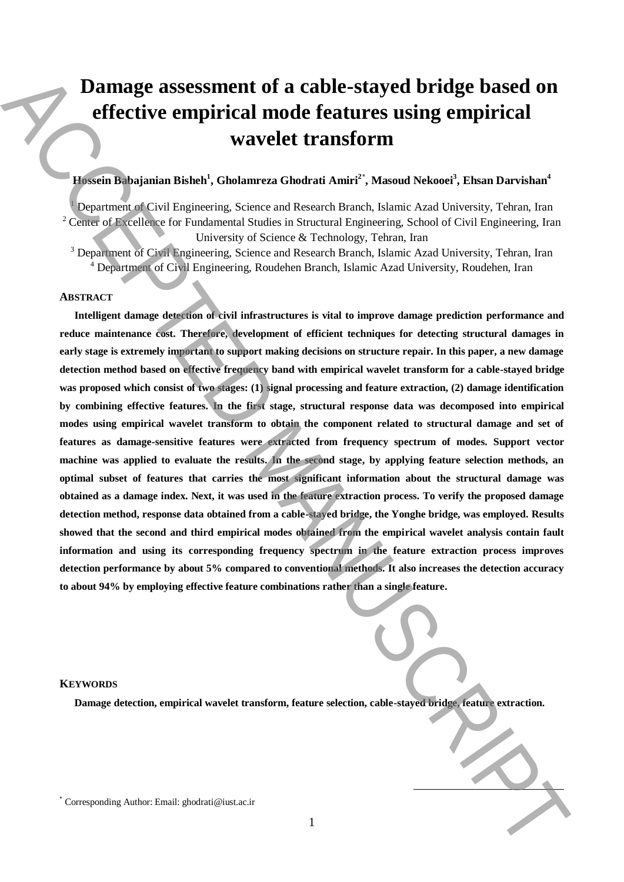# **Damage assessment of a cable-stayed bridge based on effective empirical mode features using empirical wavelet transform**

## **Hossein Babajanian Bisheh<sup>1</sup> , Gholamreza Ghodrati Amiri<sup>2</sup>**\* **, Masoud Nekooei<sup>3</sup> , Ehsan Darvishan<sup>4</sup>**

<sup>1</sup> Department of Civil Engineering, Science and Research Branch, Islamic Azad University, Tehran, Iran <sup>2</sup> Center of Excellence for Fundamental Studies in Structural Engineering, School of Civil Engineering, Iran University of Science & Technology, Tehran, Iran

<sup>3</sup> Department of Civil Engineering, Science and Research Branch, Islamic Azad University, Tehran, Iran <sup>4</sup> Department of Civil Engineering, Roudehen Branch, Islamic Azad University, Roudehen, Iran

## **ABSTRACT**

**Intelligent damage detection of civil infrastructures is vital to improve damage prediction performance and reduce maintenance cost. Therefore, development of efficient techniques for detecting structural damages in early stage is extremely important to support making decisions on structure repair. In this paper, a new damage detection method based on effective frequency band with empirical wavelet transform for a cable-stayed bridge was proposed which consist of two stages: (1) signal processing and feature extraction, (2) damage identification by combining effective features. In the first stage, structural response data was decomposed into empirical modes using empirical wavelet transform to obtain the component related to structural damage and set of features as damage-sensitive features were extracted from frequency spectrum of modes. Support vector machine was applied to evaluate the results. In the second stage, by applying feature selection methods, an optimal subset of features that carries the most significant information about the structural damage was obtained as a damage index. Next, it was used in the feature extraction process. To verify the proposed damage detection method, response data obtained from a cable-stayed bridge, the Yonghe bridge, was employed. Results showed that the second and third empirical modes obtained from the empirical wavelet analysis contain fault information and using its corresponding frequency spectrum in the feature extraction process improves detection performance by about 5% compared to conventional methods. It also increases the detection accuracy to about 94% by employing effective feature combinations rather than a single feature.** Damage assessment of a cable-stayed bridge based on<br>
effective empirical wavelet transform<br>
wavelet ransform<br>
wavelet transform<br>
the corresponding Authority, Since a Global Authority, Since Dented Authors, Denoted Network<br>

#### **KEYWORDS**

**Damage detection, empirical wavelet transform, feature selection, cable-stayed bridge, feature extraction.**

**.**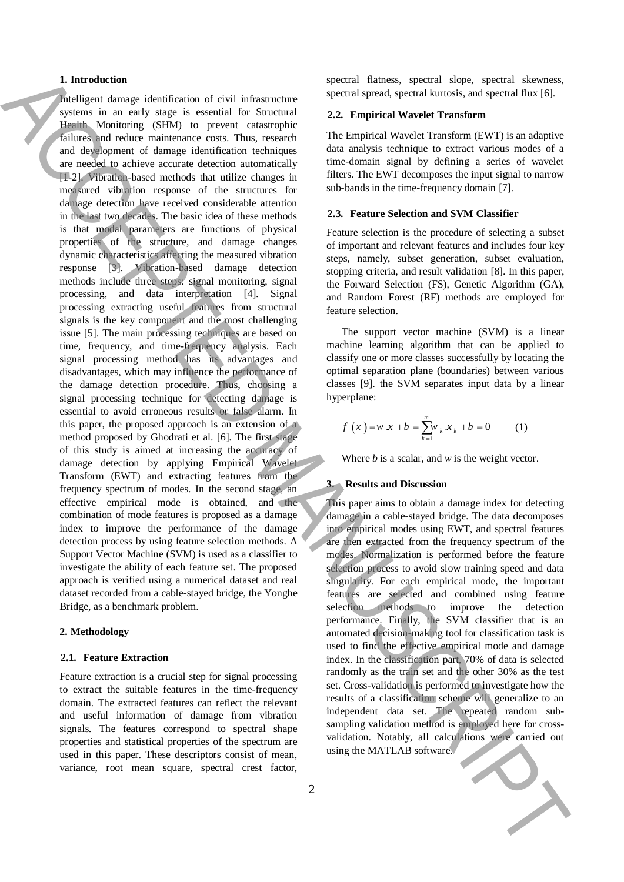## **1. Introduction**

Intelligent damage identification of civil infrastructure systems in an early stage is essential for Structural Health Monitoring (SHM) to prevent catastrophic failures and reduce maintenance costs. Thus, research and development of damage identification techniques are needed to achieve accurate detection automatically [1-2]. Vibration-based methods that utilize changes in measured vibration response of the structures for damage detection have received considerable attention in the last two decades. The basic idea of these methods is that modal parameters are functions of physical properties of the structure, and damage changes dynamic characteristics affecting the measured vibration response [3]. Vibration-based damage detection methods include three steps: signal monitoring, signal processing, and data interpretation [4]. Signal processing extracting useful features from structural signals is the key component and the most challenging issue [5]. The main processing techniques are based on time, frequency, and time-frequency analysis. Each signal processing method has its advantages and disadvantages, which may influence the performance of the damage detection procedure. Thus, choosing a signal processing technique for detecting damage is essential to avoid erroneous results or false alarm. In this paper, the proposed approach is an extension of a method proposed by Ghodrati et al. [6]. The first stage of this study is aimed at increasing the accuracy of damage detection by applying Empirical Wavelet Transform (EWT) and extracting features from the frequency spectrum of modes. In the second stage, an effective empirical mode is obtained, and the combination of mode features is proposed as a damage index to improve the performance of the damage detection process by using feature selection methods. A Support Vector Machine (SVM) is used as a classifier to investigate the ability of each feature set. The proposed approach is verified using a numerical dataset and real dataset recorded from a cable-stayed bridge, the Yonghe Bridge, as a benchmark problem. I, between the matrix of sixty interesting the control of the matrix and second to the matrix and the matrix and  $\chi$  (i) and  $\chi$  (i) and  $\chi$  (i) and  $\chi$  (i) and  $\chi$  (i) and  $\chi$  (i) and  $\chi$  (i) and  $\chi$  (i) and  $\chi$ 

#### **2. Methodology**

#### **2.1. Feature Extraction**

Feature extraction is a crucial step for signal processing to extract the suitable features in the time-frequency domain. The extracted features can reflect the relevant and useful information of damage from vibration signals. The features correspond to spectral shape properties and statistical properties of the spectrum are used in this paper. These descriptors consist of mean, variance, root mean square, spectral crest factor, spectral flatness, spectral slope, spectral skewness, spectral spread, spectral kurtosis, and spectral flux [6].

## **2.2. Empirical Wavelet Transform**

The Empirical Wavelet Transform (EWT) is an adaptive data analysis technique to extract various modes of a time-domain signal by defining a series of wavelet filters. The EWT decomposes the input signal to narrow sub-bands in the time-frequency domain [7].

## **2.3. Feature Selection and SVM Classifier**

Feature selection is the procedure of selecting a subset of important and relevant features and includes four key steps, namely, subset generation, subset evaluation, stopping criteria, and result validation [8]. In this paper, the Forward Selection (FS), Genetic Algorithm (GA), and Random Forest (RF) methods are employed for feature selection.

The support vector machine (SVM) is a linear machine learning algorithm that can be applied to classify one or more classes successfully by locating the optimal separation plane (boundaries) between various classes [9]. the SVM separates input data by a linear hyperplane:

$$
f(x) = w x + b = \sum_{k=1}^{m} w_k x_k + b = 0 \qquad (1)
$$

Where *b* is a scalar, and *w* is the weight vector.

## **3. Results and Discussion**

This paper aims to obtain a damage index for detecting damage in a cable-stayed bridge. The data decomposes into empirical modes using EWT, and spectral features are then extracted from the frequency spectrum of the modes. Normalization is performed before the feature selection process to avoid slow training speed and data singularity. For each empirical mode, the important features are selected and combined using feature selection methods to improve the detection performance. Finally, the SVM classifier that is an automated decision-making tool for classification task is used to find the effective empirical mode and damage index. In the classification part, 70% of data is selected randomly as the train set and the other 30% as the test set. Cross-validation is performed to investigate how the results of a classification scheme will generalize to an independent data set. The repeated random subsampling validation method is employed here for crossvalidation. Notably, all calculations were carried out